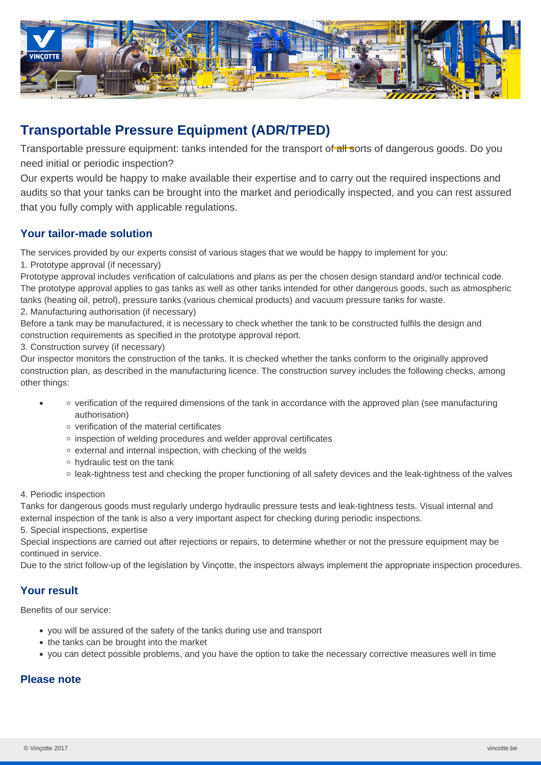

# **Transportable Pressure Equipment (ADR/TPED)**

Transportable pressure equipment: tanks intended for the transport of all sorts of dangerous goods. Do you need initial or periodic inspection?

Our experts would be happy to make available their expertise and to carry out the required inspections and audits so that your tanks can be brought into the market and periodically inspected, and you can rest assured that you fully comply with applicable regulations.

## **Your tailor-made solution**

The services provided by our experts consist of various stages that we would be happy to implement for you:

#### 1. Prototype approval (if necessary)

Prototype approval includes verification of calculations and plans as per the chosen design standard and/or technical code. The prototype approval applies to gas tanks as well as other tanks intended for other dangerous goods, such as atmospheric tanks (heating oil, petrol), pressure tanks (various chemical products) and vacuum pressure tanks for waste.

2. Manufacturing authorisation (if necessary)

Before a tank may be manufactured, it is necessary to check whether the tank to be constructed fulfils the design and construction requirements as specified in the prototype approval report.

3. Construction survey (if necessary)

Our inspector monitors the construction of the tanks. It is checked whether the tanks conform to the originally approved construction plan, as described in the manufacturing licence. The construction survey includes the following checks, among other things:

- verification of the required dimensions of the tank in accordance with the approved plan (see manufacturing authorisation)
	- verification of the material certificates
	- $\circ$  inspection of welding procedures and welder approval certificates
	- o external and internal inspection, with checking of the welds
	- hydraulic test on the tank
	- leak-tightness test and checking the proper functioning of all safety devices and the leak-tightness of the valves

#### 4. Periodic inspection

Tanks for dangerous goods must regularly undergo hydraulic pressure tests and leak-tightness tests. Visual internal and external inspection of the tank is also a very important aspect for checking during periodic inspections.

#### 5. Special inspections, expertise

Special inspections are carried out after rejections or repairs, to determine whether or not the pressure equipment may be continued in service.

Due to the strict follow-up of the legislation by Vinçotte, the inspectors always implement the appropriate inspection procedures.

### **Your result**

Benefits of our service:

- you will be assured of the safety of the tanks during use and transport
- the tanks can be brought into the market
- you can detect possible problems, and you have the option to take the necessary corrective measures well in time

# **Please note**